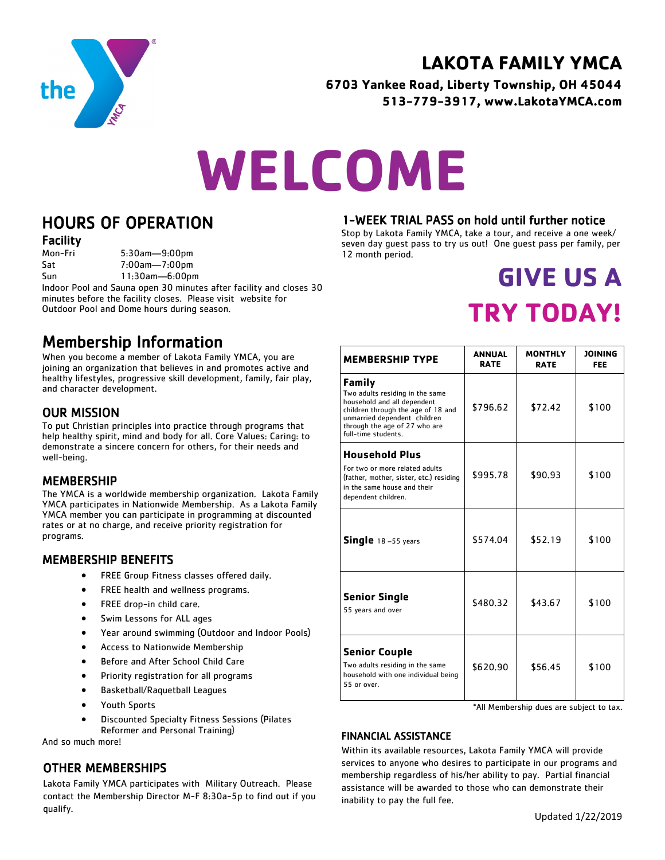

# **LAKOTA FAMILY YMCA**

#### **6703 Yankee Road, Liberty Township, OH 45044 513-779-3917, www.LakotaYMCA.com**

# **WELCOME**

# HOURS OF OPERATION

#### Facility

Mon-Fri Sat Sun 5:30am—9:00pm 7:00am—7:00pm 11:30am—6:00pm

Indoor Pool and Sauna open 30 minutes after facility and closes 30 minutes before the facility closes. Please visit website for Outdoor Pool and Dome hours during season.

# Membership Information

When you become a member of Lakota Family YMCA, you are joining an organization that believes in and promotes active and healthy lifestyles, progressive skill development, family, fair play, and character development.

#### OUR MISSION

To put Christian principles into practice through programs that help healthy spirit, mind and body for all. Core Values: Caring: to demonstrate a sincere concern for others, for their needs and well-being.

#### MEMBERSHIP

The YMCA is a worldwide membership organization. Lakota Family YMCA participates in Nationwide Membership. As a Lakota Family YMCA member you can participate in programming at discounted rates or at no charge, and receive priority registration for programs.

#### MEMBERSHIP BENEFITS

- FREE Group Fitness classes offered daily.
- FREE health and wellness programs.
- FREE drop-in child care.
- Swim Lessons for ALL ages
- Year around swimming (Outdoor and Indoor Pools)
- Access to Nationwide Membership
- Before and After School Child Care
- Priority registration for all programs
- Basketball/Raquetball Leagues
- Youth Sports
- Discounted Specialty Fitness Sessions (Pilates Reformer and Personal Training)

And so much more!

#### OTHER MEMBERSHIPS

Lakota Family YMCA participates with Military Outreach. Please contact the Membership Director M-F 8:30a-5p to find out if you qualify.

#### 1-WEEK TRIAL PASS on hold until further notice

Stop by Lakota Family YMCA, take a tour, and receive a one week/ seven day guest pass to try us out! One guest pass per family, per 12 month period.

# **GIVE US A TRY TODAY!**

| <b>MEMBERSHIP TYPE</b>                                                                                                                                                                                       | <b>ANNUAL</b><br><b>RATE</b> | <b>MONTHLY</b><br><b>RATE</b> | <b>JOINING</b><br><b>FEE</b> |
|--------------------------------------------------------------------------------------------------------------------------------------------------------------------------------------------------------------|------------------------------|-------------------------------|------------------------------|
| <b>Family</b><br>Two adults residing in the same<br>household and all dependent<br>children through the age of 18 and<br>unmarried dependent children<br>through the age of 27 who are<br>full-time students | \$796.62                     | \$72.42                       | \$100                        |
| <b>Household Plus</b>                                                                                                                                                                                        |                              |                               |                              |
| For two or more related adults<br>(father, mother, sister, etc.) residing<br>in the same house and their<br>dependent children.                                                                              | \$995.78                     | \$90.93                       | \$100                        |
| Single 18-55 years                                                                                                                                                                                           | \$574.04                     | \$52.19                       | \$100                        |
| <b>Senior Single</b><br>55 years and over                                                                                                                                                                    | \$480.32                     | \$43.67                       | \$100                        |
| <b>Senior Couple</b><br>Two adults residing in the same<br>household with one individual being<br>55 or over.                                                                                                | \$620.90                     | \$56.45                       | \$100                        |

\*All Membership dues are subject to tax.

#### FINANCIAL ASSISTANCE

Within its available resources, Lakota Family YMCA will provide services to anyone who desires to participate in our programs and membership regardless of his/her ability to pay. Partial financial assistance will be awarded to those who can demonstrate their inability to pay the full fee.